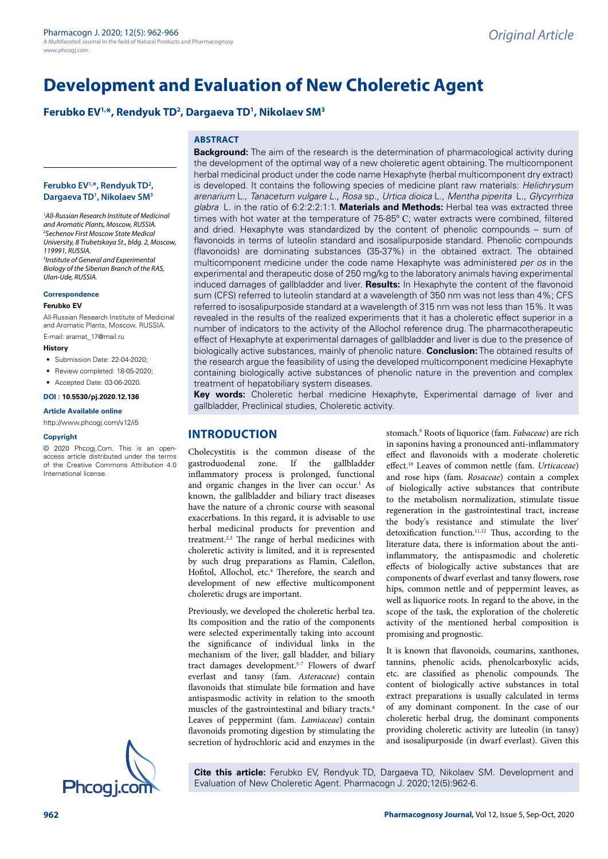# **Development and Evaluation of New Choleretic Agent**

# **Ferubko EV1,\*, Rendyuk TD2 , Dargaeva TD1 , Nikolaev SM3**

## **Ferubko EV1,\*, Rendyuk TD2 , Dargaeva TD1 , Nikolaev SM3**

*1 All-Russian Research Institute of Medicinal and Aromatic Plants, Moscow, RUSSIA. 2 Sechenov First Moscow State Medical University, 8 Trubetskaya St., bldg. 2, Moscow, 119991, RUSSIA. 3 Institute of General and Experimental Biology of the Siberian Branch of the RAS, Ulan-Ude, RUSSIA.*

#### **Correspondence**

#### **Ferubko EV**

All-Russian Research Institute of Medicinal and Aromatic Plants, Moscow, RUSSIA. E-mail: aramat\_17@mail.ru

#### **History**

- Submission Date: 22-04-2020;
- Review completed: 18-05-2020;
- Accepted Date: 03-06-2020.

#### **DOI : 10.5530/pj.2020.12.136**

#### **Article Available online**

<http://www.phcogj.com/v12/i5>

#### **Copyright**

© 2020 Phcogj.Com. This is an openaccess article distributed under the terms of the Creative Commons Attribution 4.0 International license.



**ABSTRACT Background:** The aim of the research is the determination of pharmacological activity during the development of the optimal way of a new choleretic agent obtaining. The multicomponent herbal medicinal product under the code name Hexaphyte (herbal multicomponent dry extract) is developed. It contains the following species of medicine plant raw materials: *Helichrysum arenarium* L., *Tanacetum vulgare L., Rosa* sp., *Urtica dioica* L., *Mentha piperita* [L.](https://ru.wikipedia.org/wiki/L.), *Glycyrrhiza glabra* [L.](https://ru.wikipedia.org/wiki/L.) in the ratio of 6:2:2:2:1:1. **Materials and Methods:** Herbal tea was extracted three times with hot water at the temperature of 75-85º С; water extracts were combined, filtered and dried. Hexaphyte was standardized by the content of phenolic compounds – sum of flavonoids in terms of luteolin standard and isosalipurposide standard. Phenolic compounds (flavonoids) are dominating substances (35-37%) in the obtained extract. The obtained multicomponent medicine under the code name Hexaphyte was administered *per os* in the experimental and therapeutic dose of 250 mg/kg to the laboratory animals having experimental induced damages of gallbladder and liver. **Results:** In Hexaphyte the content of the flavonoid sum (CFS) referred to luteolin standard at a wavelength of 350 nm was not less than 4%; CFS referred to isosalipurposide standard at a wavelength of 315 nm was not less than 15%. It was revealed in the results of the realized experiments that it has a choleretic effect superior in a number of indicators to the activity of the Allochol reference drug. The pharmacotherapeutic effect of Hexaphyte at experimental damages of gallbladder and liver is due to the presence of biologically active substances, mainly of phenolic nature. **Conclusion:** The obtained results of the research argue the feasibility of using the developed multicomponent medicine Hexaphyte containing biologically active substances of phenolic nature in the prevention and complex treatment of hepatobiliary system diseases.

**Key words:** Choleretic herbal medicine Hexaphyte, Experimental damage of liver and gallbladder, Preclinical studies, Choleretic activity.

# **INTRODUCTION**

Cholecystitis is the common disease of the gastroduodenal zone. If the gallbladder inflammatory process is prolonged, functional and organic changes in the liver can occur.<sup>1</sup> As known, the gallbladder and biliary tract diseases have the nature of a chronic course with seasonal exacerbations. In this regard, it is advisable to use herbal medicinal products for prevention and treatment.2,3 The range of herbal medicines with choleretic activity is limited, and it is represented by such drug preparations as Flamin, Caleflon, Hofitol, Allochol, etc.<sup>4</sup> Therefore, the search and development of new effective multicomponent choleretic drugs are important.

Previously, we developed the choleretic herbal tea. Its composition and the ratio of the components were selected experimentally taking into account the significance of individual links in the mechanism of the liver, gall bladder, and biliary tract damages development.5-7 Flowers of dwarf everlast and tansy (fam. *Asteraceae*) contain flavonoids that stimulate bile formation and have antispasmodic activity in relation to the smooth muscles of the gastrointestinal and biliary tracts.<sup>8</sup> Leaves of peppermint (fam. *Lamiaceae*) contain flavonoids promoting digestion by stimulating the secretion of hydrochloric acid and enzymes in the

stomach.9 Roots of liquorice (fam. *Fabaceae*) are rich in saponins having a pronounced anti-inflammatory effect and flavonoids with a moderate choleretic effect.10 Leaves of common nettle (fam. *Urticaceae*) and rose hips (fam. *Rosaceae*) contain a complex of biologically active substances that contribute to the metabolism normalization, stimulate tissue regeneration in the gastrointestinal tract, increase the body's resistance and stimulate the liver' detoxification function.<sup>11,12</sup> Thus, according to the literature data, there is information about the antiinflammatory, the antispasmodic and choleretic effects of biologically active substances that are components of dwarf everlast and tansy flowers, rose hips, common nettle and of peppermint leaves, as well as liquorice roots. In regard to the above, in the scope of the task, the exploration of the choleretic activity of the mentioned herbal composition is promising and prognostic.

It is known that flavonoids, coumarins, xanthones, tannins, phenolic acids, phenolcarboxylic acids, etc. are classified as phenolic compounds. The content of biologically active substances in total extract preparations is usually calculated in terms of any dominant component. In the case of our choleretic herbal drug, the dominant components providing choleretic activity are luteolin (in tansy) and isosalipurposide (in dwarf everlast). Given this

**Cite this article:** Ferubko EV, Rendyuk TD, Dargaeva TD, Nikolaev SM. Development and **Phcogi.com** Evaluation of New Choleretic Agent. Pharmacogn J. 2020;12(5):962-6.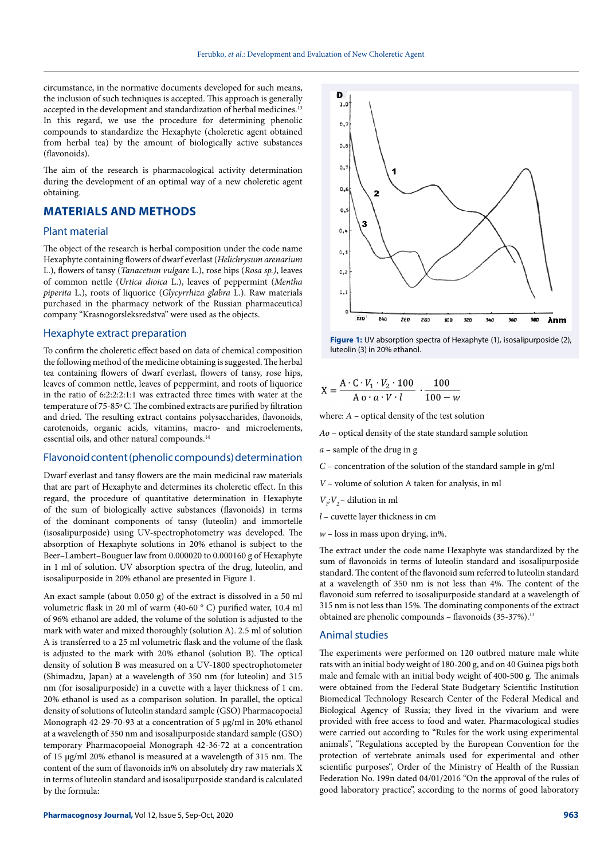circumstance, in the normative documents developed for such means, the inclusion of such techniques is accepted. This approach is generally accepted in the development and standardization of herbal medicines.<sup>13</sup> In this regard, we use the procedure for determining phenolic compounds to standardize the Hexaphyte (choleretic agent obtained from herbal tea) by the amount of biologically active substances (flavonoids).

The aim of the research is pharmacological activity determination during the development of an optimal way of a new choleretic agent obtaining.

# **MATERIALS AND METHODS**

## Plant material

The object of the research is herbal composition under the code name Hexaphyte containing flowers of dwarf everlast (*Helichrysum arenarium* L.), flowers of tansy (*Tanacetum vulgare* L.), rose hips (*Rosa sp.)*, leaves of common nettle (*Urtica dioica* L.), leaves of peppermint (*Mentha piperita* L.), roots of liquorice (*Glycyrrhiza glabra* L.). Raw materials purchased in the pharmacy network of the Russian pharmaceutical company "Krasnogorsleksredstva" were used as the objects.

#### Hexaphyte extract preparation

To confirm the choleretic effect based on data of chemical composition the following method of the medicine obtaining is suggested. The herbal tea containing flowers of dwarf everlast, flowers of tansy, rose hips, leaves of common nettle, leaves of peppermint, and roots of liquorice in the ratio of 6:2:2:2:1:1 was extracted three times with water at the temperature of 75-85º С. The combined extracts are purified by filtration and dried. The resulting extract contains polysaccharides, flavonoids, carotenoids, organic acids, vitamins, macro- and microelements, essential oils, and other natural compounds.14

#### Flavonoid content (phenolic compounds) determination

Dwarf everlast and tansy flowers are the main medicinal raw materials that are part of Hexaphyte and determines its choleretic effect. In this regard, the procedure of quantitative determination in Hexaphyte of the sum of biologically active substances (flavonoids) in terms of the dominant components of tansy (luteolin) and immortelle (isosalipurposide) using UV-spectrophotometry was developed. The absorption of Hexaphyte solutions in 20% ethanol is subject to the Beer–Lambert–Bouguer law from 0.000020 to 0.000160 g of Hexaphyte in 1 ml of solution. UV absorption spectra of the drug, luteolin, and isosalipurposide in 20% ethanol are presented in Figure 1.

An exact sample (about 0.050 g) of the extract is dissolved in a 50 ml volumetric flask in 20 ml of warm (40-60 ° C) purified water, 10.4 ml of 96% ethanol are added, the volume of the solution is adjusted to the mark with water and mixed thoroughly (solution A). 2.5 ml of solution A is transferred to a 25 ml volumetric flask and the volume of the flask is adjusted to the mark with 20% ethanol (solution B). The optical density of solution B was measured on a UV-1800 spectrophotometer (Shimadzu, Japan) at a wavelength of 350 nm (for luteolin) and 315 nm (for isosalipurposide) in a cuvette with a layer thickness of 1 cm. 20% ethanol is used as a comparison solution. In parallel, the optical density of solutions of luteolin standard sample (GSO) Pharmacopoeial Monograph 42-29-70-93 at a concentration of 5 μg/ml in 20% ethanol at a wavelength of 350 nm and isosalipurposide standard sample (GSO) temporary Pharmacopoeial Monograph 42-36-72 at a concentration of 15 μg/ml 20% ethanol is measured at a wavelength of 315 nm. The content of the sum of flavonoids in% on absolutely dry raw materials X in terms of luteolin standard and isosalipurposide standard is calculated by the formula:





$$
X = \frac{A \cdot C \cdot V_1 \cdot V_2 \cdot 100}{A \cdot a \cdot V \cdot l} \cdot \frac{100}{100 - w}
$$

where: *А* – optical density of the test solution

*Ао* – optical density of the state standard sample solution

*а* – sample of the drug in g

*С* – concentration of the solution of the standard sample in g/ml

*V* – volume of solution A taken for analysis, in ml

- $V_i$ ;  $V_2$  dilution in ml
- *l* cuvette layer thickness in cm
- $w$  loss in mass upon drying, in%.

The extract under the code name Hexaphyte was standardized by the sum of flavonoids in terms of luteolin standard and isosalipurposide standard. The content of the flavonoid sum referred to luteolin standard at a wavelength of 350 nm is not less than 4%. The content of the flavonoid sum referred to isosalipurposide standard at a wavelength of 315 nm is not less than 15%. The dominating components of the extract obtained are phenolic compounds - flavonoids (35-37%).<sup>13</sup>

#### Animal studies

The experiments were performed on 120 outbred mature male white rats with an initial body weight of 180-200 g, and on 40 Guinea pigs both male and female with an initial body weight of 400-500 g. The animals were obtained from the Federal State Budgetary Scientific Institution Biomedical Technology Research Center of the Federal Medical and Biological Agency of Russia; they lived in the vivarium and were provided with free access to food and water. Pharmacological studies were carried out according to "Rules for the work using experimental animals", "Regulations accepted by the European Convention for the protection of vertebrate animals used for experimental and other scientific purposes", Order of the Ministry of Health of the Russian Federation No. 199n dated 04/01/2016 "On the approval of the rules of good laboratory practice", according to the norms of good laboratory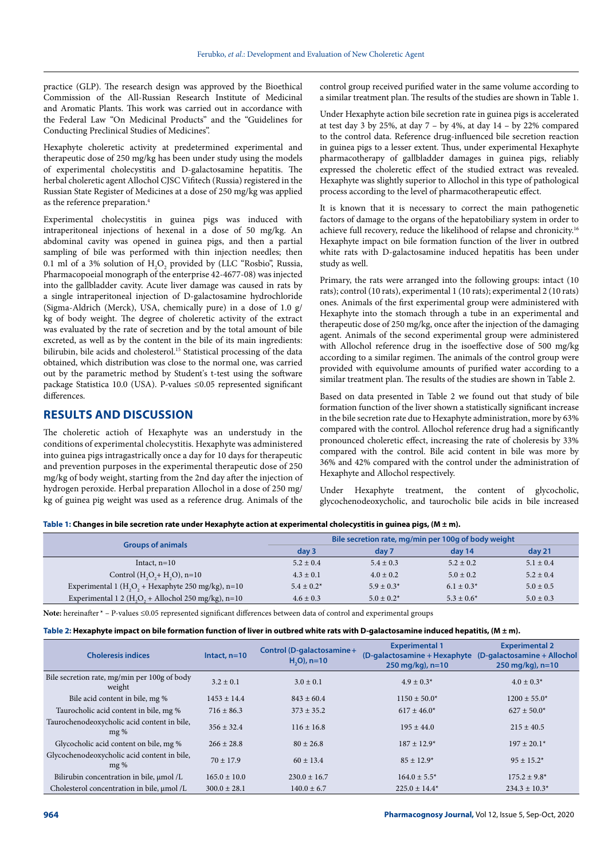practice (GLP). The research design was approved by the Bioethical Commission of the All-Russian Research Institute of Medicinal and Aromatic Plants. This work was carried out in accordance with the Federal Law "On Medicinal Products" and the "Guidelines for Conducting Preclinical Studies of Medicines".

Hexaphyte choleretic activity at predetermined experimental and therapeutic dose of 250 mg/kg has been under study using the models of experimental cholecystitis and D-galactosamine hepatitis. The herbal choleretic agent Allochol CJSC Vifitech (Russia) registered in the Russian State Register of Medicines at a dose of 250 mg/kg was applied as the reference preparation.4

Experimental cholecystitis in guinea pigs was induced with intraperitoneal injections of hexenal in a dose of 50 mg/kg. An abdominal cavity was opened in guinea pigs, and then a partial sampling of bile was performed with thin injection needles; then 0.1 ml of a 3% solution of  $H_2O_2$  provided by (LLC "Rosbio", Russia, Pharmacopoeial monograph of the enterprise 42-4677-08) was injected into the gallbladder cavity. Acute liver damage was caused in rats by a single intraperitoneal injection of D-galactosamine hydrochloride (Sigma-Aldrich (Merck), USA, chemically pure) in a dose of 1.0 g/ kg of body weight. The degree of choleretic activity of the extract was evaluated by the rate of secretion and by the total amount of bile excreted, as well as by the content in the bile of its main ingredients: bilirubin, bile acids and cholesterol.<sup>15</sup> Statistical processing of the data obtained, which distribution was close to the normal one, was carried out by the parametric method by Student's t-test using the software package Statistica 10.0 (USA). P-values ≤0.05 represented significant differences.

## **RESULTS AND DISCUSSION**

The choleretic actioh of Hexaphyte was an understudy in the conditions of experimental cholecystitis. Hexaphyte was administered into guinea pigs intragastrically once a day for 10 days for therapeutic and prevention purposes in the experimental therapeutic dose of 250 mg/kg of body weight, starting from the 2nd day after the injection of hydrogen peroxide. Herbal preparation Allochol in a dose of 250 mg/ kg of guinea pig weight was used as a reference drug. Animals of the control group received purified water in the same volume according to a similar treatment plan. The results of the studies are shown in Table 1.

Under Hexaphyte action bile secretion rate in guinea pigs is accelerated at test day 3 by 25%, at day  $7 -$  by 4%, at day  $14 -$  by 22% compared to the control data. Reference drug-influenced bile secretion reaction in guinea pigs to a lesser extent. Thus, under experimental Hexaphyte pharmacotherapy of gallbladder damages in guinea pigs, reliably expressed the choleretic effect of the studied extract was revealed. Hexaphyte was slightly superior to Allochol in this type of pathological process according to the level of pharmacotherapeutic effect.

It is known that it is necessary to correct the main pathogenetic factors of damage to the organs of the hepatobiliary system in order to achieve full recovery, reduce the likelihood of relapse and chronicity.16 Hexaphyte impact on bile formation function of the liver in outbred white rats with D-galactosamine induced hepatitis has been under study as well.

Primary, the rats were arranged into the following groups: intact (10 rats); control (10 rats), experimental 1 (10 rats); experimental 2 (10 rats) ones. Animals of the first experimental group were administered with Hexaphyte into the stomach through a tube in an experimental and therapeutic dose of 250 mg/kg, once after the injection of the damaging agent. Animals of the second experimental group were administered with Allochol reference drug in the isoeffective dose of 500 mg/kg according to a similar regimen. The animals of the control group were provided with equivolume amounts of purified water according to a similar treatment plan. The results of the studies are shown in Table 2.

Based on data presented in Table 2 we found out that study of bile formation function of the liver shown a statistically significant increase in the bile secretion rate due to Hexaphyte administration, more by 63% compared with the control. Allochol reference drug had a significantly pronounced choleretic effect, increasing the rate of choleresis by 33% compared with the control. Bile acid content in bile was more by 36% and 42% compared with the control under the administration of Hexaphyte and Allochol respectively.

Under Hexaphyte treatment, the content of glycocholic, glycochenodeoxycholiс, and taurocholic bile acids in bile increased

**Table 1: Changes in bile secretion rate under Hexaphyte action at experimental cholecystitis in guinea pigs, (M ± m).**

|                                                       | Bile secretion rate, mg/min per 100g of body weight |                 |                 |               |  |
|-------------------------------------------------------|-----------------------------------------------------|-----------------|-----------------|---------------|--|
| <b>Groups of animals</b>                              | day <sub>3</sub>                                    | day 7           | day 14          | day 21        |  |
| Intact, $n=10$                                        | $5.2 \pm 0.4$                                       | $5.4 \pm 0.3$   | $5.2 \pm 0.2$   | $5.1 \pm 0.4$ |  |
| Control $(H_1O_2 + H_2O)$ , n=10                      | $4.3 \pm 0.1$                                       | $4.0 \pm 0.2$   | $5.0 \pm 0.2$   | $5.2 \pm 0.4$ |  |
| Experimental 1 ( $H2O2$ + Hexaphyte 250 mg/kg), n=10  | $5.4 \pm 0.2^*$                                     | $5.9 \pm 0.3^*$ | $6.1 \pm 0.3^*$ | $5.0 \pm 0.5$ |  |
| Experimental 1 2 ( $H2O2 + Allochol 250$ mg/kg), n=10 | $4.6 \pm 0.3$                                       | $5.0 \pm 0.2^*$ | $5.3 \pm 0.6^*$ | $5.0 \pm 0.3$ |  |

**Note:** hereinafter \* – P-values ≤0.05 represented significant differences between data of control and experimental groups

**Table 2: Hexaphyte impact on bile formation function of liver in outbred white rats with D-galactosamine induced hepatitis, (M ± m).**

| <b>Choleresis indices</b>                              | Intact, $n=10$   | Control (D-galactosamine+<br>$H2O$ , n=10 | <b>Experimental 1</b><br>(D-galactosamine + Hexaphyte)<br>250 mg/kg), $n=10$ | <b>Experimental 2</b><br>(D-galactosamine + Allochol<br>$250 \,\mathrm{mg/kg}$ , n=10 |
|--------------------------------------------------------|------------------|-------------------------------------------|------------------------------------------------------------------------------|---------------------------------------------------------------------------------------|
| Bile secretion rate, mg/min per 100g of body<br>weight | $3.2 \pm 0.1$    | $3.0 \pm 0.1$                             | $4.9 \pm 0.3^*$                                                              | $4.0 \pm 0.3^*$                                                                       |
| Bile acid content in bile, mg %                        | $1453 \pm 14.4$  | $843 + 60.4$                              | $1150 \pm 50.0^*$                                                            | $1200 + 55.0*$                                                                        |
| Taurocholic acid content in bile, mg %                 | $716 \pm 86.3$   | $373 + 35.2$                              | $617 + 46.0*$                                                                | $627 \pm 50.0^*$                                                                      |
| Taurochenodeoxycholic acid content in bile,<br>mg%     | $356 + 32.4$     | $116 \pm 16.8$                            | $195 \pm 44.0$                                                               | $215 + 40.5$                                                                          |
| Glycocholic acid content on bile, mg %                 | $266 \pm 28.8$   | $80 + 26.8$                               | $187 + 12.9*$                                                                | $197 + 20.1*$                                                                         |
| Glycochenodeoxycholic acid content in bile,<br>mg%     | $70 + 17.9$      | $60 + 13.4$                               | $85 + 12.9*$                                                                 | $95 + 15.2^*$                                                                         |
| Bilirubin concentration in bile, µmol /L               | $165.0 \pm 10.0$ | $230.0 \pm 16.7$                          | $164.0 \pm 5.5^*$                                                            | $175.2 \pm 9.8^*$                                                                     |
| Cholesterol concentration in bile, umol /L             | $300.0 + 28.1$   | $140.0 \pm 6.7$                           | $225.0 \pm 14.4^*$                                                           | $234.3 \pm 10.3*$                                                                     |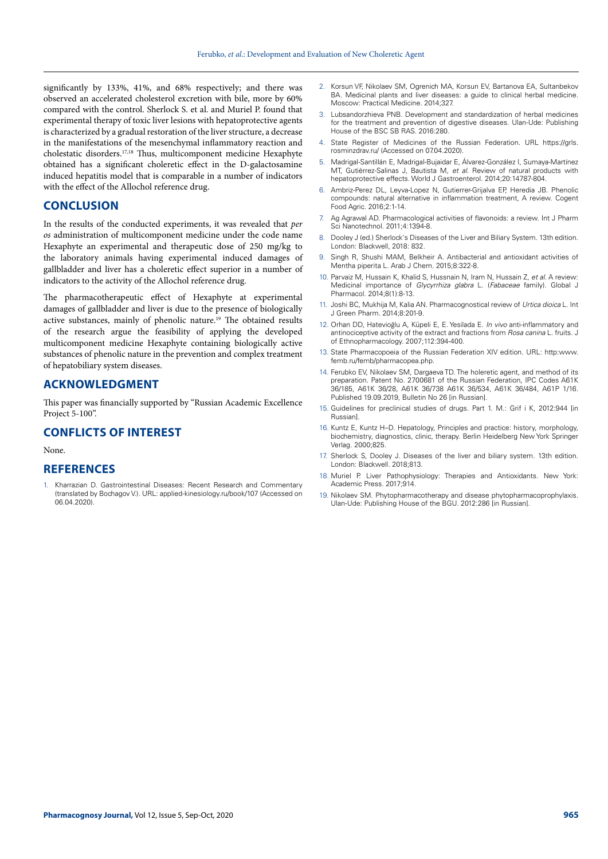significantly by 133%, 41%, and 68% respectively; and there was observed an accelerated cholesterol excretion with bile, more by 60% compared with the control. Sherlock S. et al. and Muriel P. found that experimental therapy of toxic liver lesions with hepatoprotective agents is characterized by a gradual restoration of the liver structure, a decrease in the manifestations of the mesenchymal inflammatory reaction and cholestatic disorders.17,18 Thus, multicomponent medicine Hexaphyte obtained has a significant choleretic effect in the D-galactosamine induced hepatitis model that is comparable in a number of indicators with the effect of the Allochol reference drug.

## **CONCLUSION**

In the results of the conducted experiments, it was revealed that *per os* administration of multicomponent medicine under the code name Hexaphyte an experimental and therapeutic dose of 250 mg/kg to the laboratory animals having experimental induced damages of gallbladder and liver has a choleretic effect superior in a number of indicators to the activity of the Allochol reference drug.

The pharmacotherapeutic effect of Hexaphyte at experimental damages of gallbladder and liver is due to the presence of biologically active substances, mainly of phenolic nature.<sup>19</sup> The obtained results of the research argue the feasibility of applying the developed multicomponent medicine Hexaphyte containing biologically active substances of phenolic nature in the prevention and complex treatment of hepatobiliary system diseases.

## **ACKNOWLEDGMENT**

This paper was financially supported by "Russian Academic Excellence Project 5-100".

## **CONFLICTS OF INTEREST**

#### None.

### **REFERENCES**

1. Kharrazian D. Gastrointestinal Diseases: Recent Research and Commentary (translated by Bochagov V.). URL: applied-kinesiology.ru/book/107 (Accessed on 06.04.2020).

- 2. Korsun VF, Nikolaev SM, Ogrenich MA, Korsun EV, Bartanova EA, Sultanbekov BA. Medicinal plants and liver diseases: a guide to clinical herbal medicine. Moscow: Practical Medicine. 2014;327.
- 3. Lubsandorzhieva PNB. Development and standardization of herbal medicines for the treatment and prevention of digestive diseases. Ulan-Ude: Publishing House of the BSC SB RAS. 2016:280.
- State Register of Medicines of the Russian Federation. URL https://grls. rosminzdrav.ru/ (Accessed on 07.04.2020).
- 5. Madrigal-Santillán E, Madrigal-Bujaidar E, Álvarez-González I, Sumaya-Martínez MT, Gutiérrez-Salinas J, Bautista M, *et al*. Review of natural products with hepatoprotective effects. World J Gastroenterol. 2014;20:14787-804.
- 6. Ambriz-Perez DL, Leyva-Lopez N, Gutierrer-Grijalva EP, Heredia JB. Phenolic compounds: natural alternative in inflammation treatment. A review. Cogent Food Agric. 2016;2:1-14.
- 7. Ag Agrawal AD. Pharmacological activities of flavonoids: a review. Int J Pharm Sci Nanotechnol. 2011;4:1394-8.
- 8. Dooley J (ed.) Sherlock's Diseases of the Liver and Biliary System. 13th edition. London: Blackwell, 2018: 832.
- Singh R, Shushi MAM, Belkheir A. Antibacterial and antioxidant activities of Mentha piperita L. Arab J Chem. 2015;8:322-8.
- 10. Parvaiz M, Hussain K, Khalid S, Hussnain N, Iram N, Hussain Z, *et al*. A review: Medicinal importance of *Glycyrrhiza glabra* L. (*Fabaceae* family). Global J Pharmacol. 2014;8(1):8-13.
- 11. Joshi BC, Mukhija M, Kalia AN. Pharmacognostical review of *Urtica dioica* L. Int J Green Pharm. 2014;8:201-9.
- 12. Orhan DD, Hatevioğlu A, Küpeli E, E. Yesilada E. *In vivo* anti-inflammatory and antinociceptive activity of the extract and fractions from *Rosa canina* L. fruits. J of Ethnopharmacology. 2007;112:394-400.
- 13. State Pharmacopoeia of the Russian Federation XIV edition. URL: http:www. femb.ru/femb/pharmacopea.php.
- 14. Ferubko EV, Nikolaev SM, Dargaeva TD. The holeretic agent, and method of its preparation. Patent No. 2700681 of the Russian Federation, IPC Codes A61K 36/185, A61K 36/28, A61K 36/738 A61K 36/534, A61K 36/484, A61P 1/16. Published 19.09.2019, Bulletin No 26 [in Russian].
- 15. Guidelines for preclinical studies of drugs. Part 1. M.: Grif i K, 2012:944 [in Russian].
- 16. Kuntz E, Kuntz H–D. Hepatology, Principles and practice: history, morphology, biochemistry, diagnostics, clinic, therapy. Berlin Heidelberg New York Springer Verlag. 2000;825.
- 17. Sherlock S, Dooley J. Diseases of the liver and biliary system. 13th edition. London: Blackwell. 2018;813.
- 18. Muriel P. Liver Pathophysiology: Therapies and Antioxidants. New York: Academic Press. 2017;914.
- 19. Nikolaev SM. Phytopharmacotherapy and disease phytopharmacoprophylaxis. Ulan-Ude: Publishing House of the BGU. 2012:286 [in Russian].